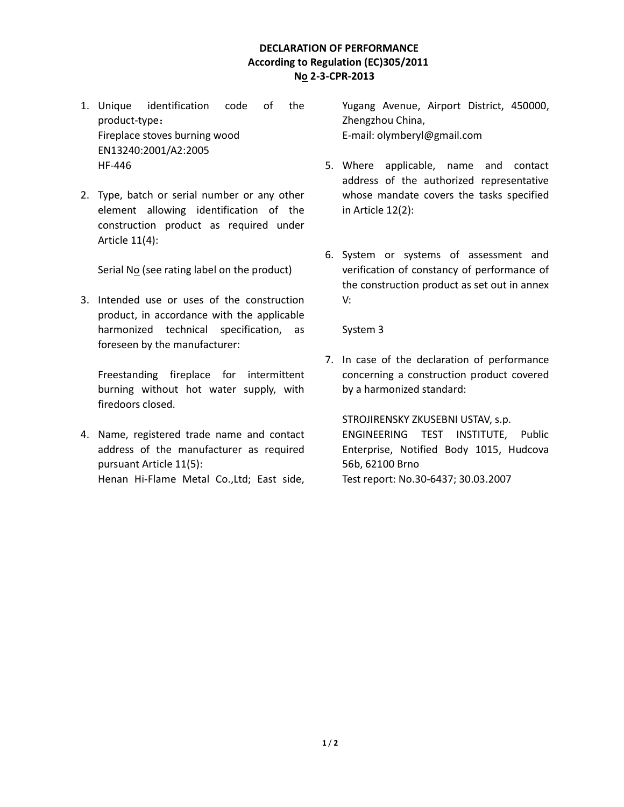## DECLARATION OF PERFORMANCE According to Regulation (EC)305/2011 No 2-3-CPR-2013

- 1. Unique identification code of the product-type: Fireplace stoves burning wood EN13240:2001/A2:2005 HF-446
- 2. Type, batch or serial number or any other element allowing identification of the construction product as required under Article 11(4):

Serial No (see rating label on the product)

3. Intended use or uses of the construction product, in accordance with the applicable harmonized technical specification, as foreseen by the manufacturer:

Freestanding fireplace for intermittent burning without hot water supply, with firedoors closed.

4. Name, registered trade name and contact address of the manufacturer as required pursuant Article 11(5): Henan Hi-Flame Metal Co.,Ltd; East side, Yugang Avenue, Airport District, 450000, Zhengzhou China, E-mail: olymberyl@gmail.com

- 5. Where applicable, name and contact address of the authorized representative whose mandate covers the tasks specified in Article 12(2):
- 6. System or systems of assessment and verification of constancy of performance of the construction product as set out in annex V:

System 3

7. In case of the declaration of performance concerning a construction product covered by a harmonized standard:

STROJIRENSKY ZKUSEBNI USTAV, s.p. ENGINEERING TEST INSTITUTE, Public Enterprise, Notified Body 1015, Hudcova 56b, 62100 Brno Test report: No.30-6437; 30.03.2007